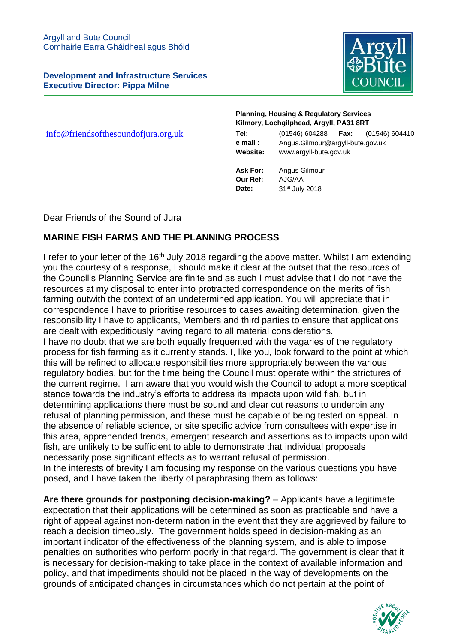**Development and Infrastructure Services Executive Director: Pippa Milne**



 $info@friends of the sound of jura.org.uk$ 

## **Planning, Housing & Regulatory Services Kilmory, Lochgilphead, Argyll, PA31 8RT**

| Tel:     | (01546) 604288                   | Fax: | (01546) 604410 |
|----------|----------------------------------|------|----------------|
| e mail : | Angus.Gilmour@argyll-bute.gov.uk |      |                |
| Website: | www.argyll-bute.gov.uk           |      |                |

**Ask For:** Angus Gilmour **Our Ref:** AJG/AA **Date:** 31st July 2018

Dear Friends of the Sound of Jura

## **MARINE FISH FARMS AND THE PLANNING PROCESS**

**I** refer to your letter of the 16<sup>th</sup> July 2018 regarding the above matter. Whilst I am extending you the courtesy of a response, I should make it clear at the outset that the resources of the Council's Planning Service are finite and as such I must advise that I do not have the resources at my disposal to enter into protracted correspondence on the merits of fish farming outwith the context of an undetermined application. You will appreciate that in correspondence I have to prioritise resources to cases awaiting determination, given the responsibility I have to applicants, Members and third parties to ensure that applications are dealt with expeditiously having regard to all material considerations.

I have no doubt that we are both equally frequented with the vagaries of the regulatory process for fish farming as it currently stands. I, like you, look forward to the point at which this will be refined to allocate responsibilities more appropriately between the various regulatory bodies, but for the time being the Council must operate within the strictures of the current regime. I am aware that you would wish the Council to adopt a more sceptical stance towards the industry's efforts to address its impacts upon wild fish, but in determining applications there must be sound and clear cut reasons to underpin any refusal of planning permission, and these must be capable of being tested on appeal. In the absence of reliable science, or site specific advice from consultees with expertise in this area, apprehended trends, emergent research and assertions as to impacts upon wild fish, are unlikely to be sufficient to able to demonstrate that individual proposals necessarily pose significant effects as to warrant refusal of permission. In the interests of brevity I am focusing my response on the various questions you have

posed, and I have taken the liberty of paraphrasing them as follows:

**Are there grounds for postponing decision-making?** – Applicants have a legitimate expectation that their applications will be determined as soon as practicable and have a right of appeal against non-determination in the event that they are aggrieved by failure to reach a decision timeously. The government holds speed in decision-making as an important indicator of the effectiveness of the planning system, and is able to impose penalties on authorities who perform poorly in that regard. The government is clear that it is necessary for decision-making to take place in the context of available information and policy, and that impediments should not be placed in the way of developments on the grounds of anticipated changes in circumstances which do not pertain at the point of

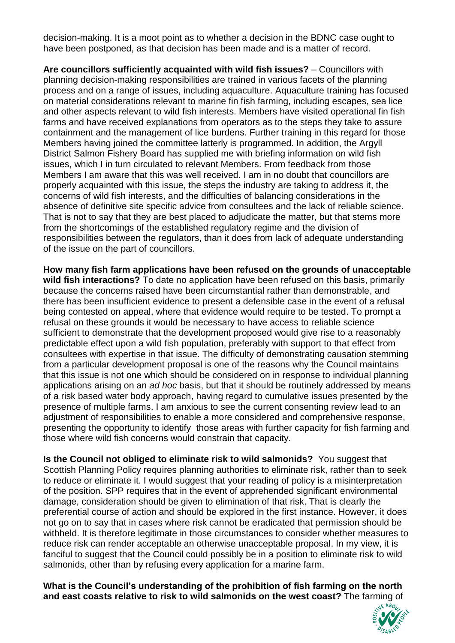decision-making. It is a moot point as to whether a decision in the BDNC case ought to have been postponed, as that decision has been made and is a matter of record.

**Are councillors sufficiently acquainted with wild fish issues?** – Councillors with planning decision-making responsibilities are trained in various facets of the planning process and on a range of issues, including aquaculture. Aquaculture training has focused on material considerations relevant to marine fin fish farming, including escapes, sea lice and other aspects relevant to wild fish interests. Members have visited operational fin fish farms and have received explanations from operators as to the steps they take to assure containment and the management of lice burdens. Further training in this regard for those Members having joined the committee latterly is programmed. In addition, the Argyll District Salmon Fishery Board has supplied me with briefing information on wild fish issues, which I in turn circulated to relevant Members. From feedback from those Members I am aware that this was well received. I am in no doubt that councillors are properly acquainted with this issue, the steps the industry are taking to address it, the concerns of wild fish interests, and the difficulties of balancing considerations in the absence of definitive site specific advice from consultees and the lack of reliable science. That is not to say that they are best placed to adjudicate the matter, but that stems more from the shortcomings of the established regulatory regime and the division of responsibilities between the regulators, than it does from lack of adequate understanding of the issue on the part of councillors.

**How many fish farm applications have been refused on the grounds of unacceptable wild fish interactions?** To date no application have been refused on this basis, primarily because the concerns raised have been circumstantial rather than demonstrable, and there has been insufficient evidence to present a defensible case in the event of a refusal being contested on appeal, where that evidence would require to be tested. To prompt a refusal on these grounds it would be necessary to have access to reliable science sufficient to demonstrate that the development proposed would give rise to a reasonably predictable effect upon a wild fish population, preferably with support to that effect from consultees with expertise in that issue. The difficulty of demonstrating causation stemming from a particular development proposal is one of the reasons why the Council maintains that this issue is not one which should be considered on in response to individual planning applications arising on an *ad hoc* basis, but that it should be routinely addressed by means of a risk based water body approach, having regard to cumulative issues presented by the presence of multiple farms. I am anxious to see the current consenting review lead to an adjustment of responsibilities to enable a more considered and comprehensive response, presenting the opportunity to identify those areas with further capacity for fish farming and those where wild fish concerns would constrain that capacity.

**Is the Council not obliged to eliminate risk to wild salmonids?** You suggest that Scottish Planning Policy requires planning authorities to eliminate risk, rather than to seek to reduce or eliminate it. I would suggest that your reading of policy is a misinterpretation of the position. SPP requires that in the event of apprehended significant environmental damage, consideration should be given to elimination of that risk. That is clearly the preferential course of action and should be explored in the first instance. However, it does not go on to say that in cases where risk cannot be eradicated that permission should be withheld. It is therefore legitimate in those circumstances to consider whether measures to reduce risk can render acceptable an otherwise unacceptable proposal. In my view, it is fanciful to suggest that the Council could possibly be in a position to eliminate risk to wild salmonids, other than by refusing every application for a marine farm.

**What is the Council's understanding of the prohibition of fish farming on the north and east coasts relative to risk to wild salmonids on the west coast?** The farming of

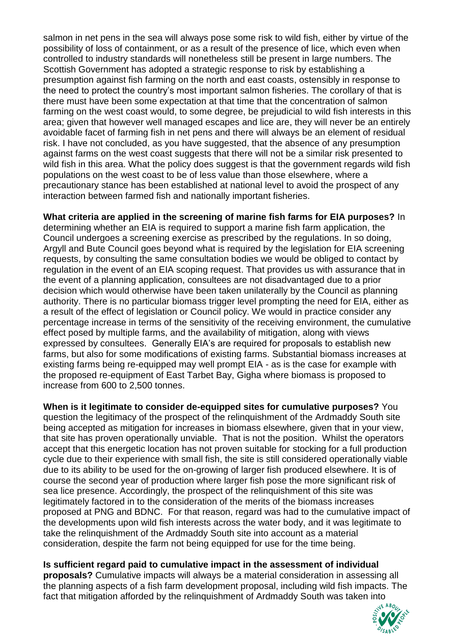salmon in net pens in the sea will always pose some risk to wild fish, either by virtue of the possibility of loss of containment, or as a result of the presence of lice, which even when controlled to industry standards will nonetheless still be present in large numbers. The Scottish Government has adopted a strategic response to risk by establishing a presumption against fish farming on the north and east coasts, ostensibly in response to the need to protect the country's most important salmon fisheries. The corollary of that is there must have been some expectation at that time that the concentration of salmon farming on the west coast would, to some degree, be prejudicial to wild fish interests in this area; given that however well managed escapes and lice are, they will never be an entirely avoidable facet of farming fish in net pens and there will always be an element of residual risk. I have not concluded, as you have suggested, that the absence of any presumption against farms on the west coast suggests that there will not be a similar risk presented to wild fish in this area. What the policy does suggest is that the government regards wild fish populations on the west coast to be of less value than those elsewhere, where a precautionary stance has been established at national level to avoid the prospect of any interaction between farmed fish and nationally important fisheries.

**What criteria are applied in the screening of marine fish farms for EIA purposes?** In determining whether an EIA is required to support a marine fish farm application, the Council undergoes a screening exercise as prescribed by the regulations. In so doing, Argyll and Bute Council goes beyond what is required by the legislation for EIA screening requests, by consulting the same consultation bodies we would be obliged to contact by regulation in the event of an EIA scoping request. That provides us with assurance that in the event of a planning application, consultees are not disadvantaged due to a prior decision which would otherwise have been taken unilaterally by the Council as planning authority. There is no particular biomass trigger level prompting the need for EIA, either as a result of the effect of legislation or Council policy. We would in practice consider any percentage increase in terms of the sensitivity of the receiving environment, the cumulative effect posed by multiple farms, and the availability of mitigation, along with views expressed by consultees. Generally EIA's are required for proposals to establish new farms, but also for some modifications of existing farms. Substantial biomass increases at existing farms being re-equipped may well prompt EIA - as is the case for example with the proposed re-equipment of East Tarbet Bay, Gigha where biomass is proposed to increase from 600 to 2,500 tonnes.

**When is it legitimate to consider de-equipped sites for cumulative purposes?** You question the legitimacy of the prospect of the relinquishment of the Ardmaddy South site being accepted as mitigation for increases in biomass elsewhere, given that in your view, that site has proven operationally unviable. That is not the position. Whilst the operators accept that this energetic location has not proven suitable for stocking for a full production cycle due to their experience with small fish, the site is still considered operationally viable due to its ability to be used for the on-growing of larger fish produced elsewhere. It is of course the second year of production where larger fish pose the more significant risk of sea lice presence. Accordingly, the prospect of the relinquishment of this site was legitimately factored in to the consideration of the merits of the biomass increases proposed at PNG and BDNC. For that reason, regard was had to the cumulative impact of the developments upon wild fish interests across the water body, and it was legitimate to take the relinquishment of the Ardmaddy South site into account as a material consideration, despite the farm not being equipped for use for the time being.

**Is sufficient regard paid to cumulative impact in the assessment of individual** 

**proposals?** Cumulative impacts will always be a material consideration in assessing all the planning aspects of a fish farm development proposal, including wild fish impacts. The fact that mitigation afforded by the relinquishment of Ardmaddy South was taken into

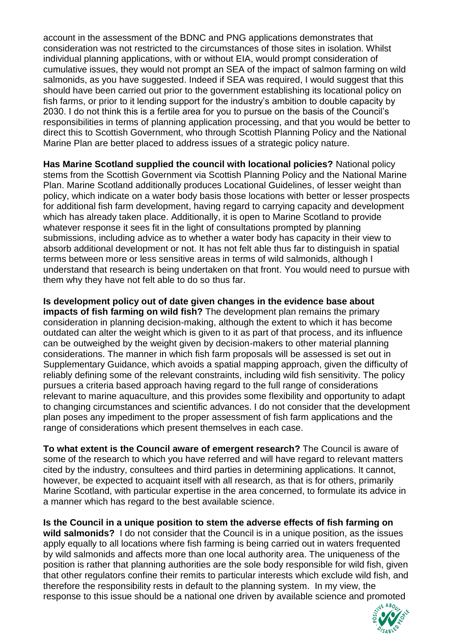account in the assessment of the BDNC and PNG applications demonstrates that consideration was not restricted to the circumstances of those sites in isolation. Whilst individual planning applications, with or without EIA, would prompt consideration of cumulative issues, they would not prompt an SEA of the impact of salmon farming on wild salmonids, as you have suggested. Indeed if SEA was required, I would suggest that this should have been carried out prior to the government establishing its locational policy on fish farms, or prior to it lending support for the industry's ambition to double capacity by 2030. I do not think this is a fertile area for you to pursue on the basis of the Council's responsibilities in terms of planning application processing, and that you would be better to direct this to Scottish Government, who through Scottish Planning Policy and the National Marine Plan are better placed to address issues of a strategic policy nature.

**Has Marine Scotland supplied the council with locational policies?** National policy stems from the Scottish Government via Scottish Planning Policy and the National Marine Plan. Marine Scotland additionally produces Locational Guidelines, of lesser weight than policy, which indicate on a water body basis those locations with better or lesser prospects for additional fish farm development, having regard to carrying capacity and development which has already taken place. Additionally, it is open to Marine Scotland to provide whatever response it sees fit in the light of consultations prompted by planning submissions, including advice as to whether a water body has capacity in their view to absorb additional development or not. It has not felt able thus far to distinguish in spatial terms between more or less sensitive areas in terms of wild salmonids, although I understand that research is being undertaken on that front. You would need to pursue with them why they have not felt able to do so thus far.

**Is development policy out of date given changes in the evidence base about impacts of fish farming on wild fish?** The development plan remains the primary consideration in planning decision-making, although the extent to which it has become outdated can alter the weight which is given to it as part of that process, and its influence can be outweighed by the weight given by decision-makers to other material planning considerations. The manner in which fish farm proposals will be assessed is set out in Supplementary Guidance, which avoids a spatial mapping approach, given the difficulty of reliably defining some of the relevant constraints, including wild fish sensitivity. The policy pursues a criteria based approach having regard to the full range of considerations relevant to marine aquaculture, and this provides some flexibility and opportunity to adapt to changing circumstances and scientific advances. I do not consider that the development plan poses any impediment to the proper assessment of fish farm applications and the range of considerations which present themselves in each case.

**To what extent is the Council aware of emergent research?** The Council is aware of some of the research to which you have referred and will have regard to relevant matters cited by the industry, consultees and third parties in determining applications. It cannot, however, be expected to acquaint itself with all research, as that is for others, primarily Marine Scotland, with particular expertise in the area concerned, to formulate its advice in a manner which has regard to the best available science.

**Is the Council in a unique position to stem the adverse effects of fish farming on wild salmonids?** I do not consider that the Council is in a unique position, as the issues apply equally to all locations where fish farming is being carried out in waters frequented by wild salmonids and affects more than one local authority area. The uniqueness of the position is rather that planning authorities are the sole body responsible for wild fish, given that other regulators confine their remits to particular interests which exclude wild fish, and therefore the responsibility rests in default to the planning system. In my view, the response to this issue should be a national one driven by available science and promoted